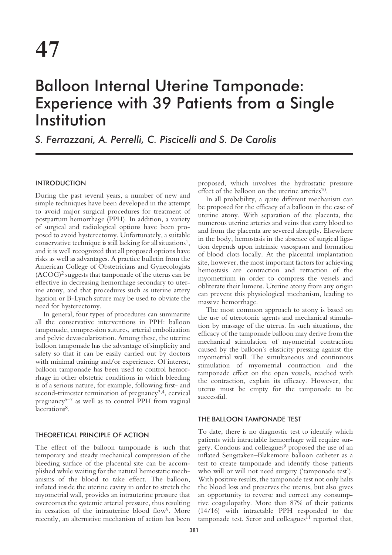# Balloon Internal Uterine Tamponade: Experience with 39 Patients from a Single Institution

*S. Ferrazzani, A. Perrelli, C. Piscicelli and S. De Carolis*

# **INTRODUCTION**

During the past several years, a number of new and simple techniques have been developed in the attempt to avoid major surgical procedures for treatment of postpartum hemorrhage (PPH). In addition, a variety of surgical and radiological options have been proposed to avoid hysterectomy. Unfortunately, a suitable conservative technique is still lacking for all situations<sup>1</sup>, and it is well recognized that all proposed options have risks as well as advantages. A practice bulletin from the American College of Obstetricians and Gynecologists  $(ACOG)^2$  suggests that tamponade of the uterus can be effective in decreasing hemorrhage secondary to uterine atony, and that procedures such as uterine artery ligation or B-Lynch suture may be used to obviate the need for hysterectomy.

In general, four types of procedures can summarize all the conservative interventions in PPH: balloon tamponade, compression sutures, arterial embolization and pelvic devascularization. Among these, the uterine balloon tamponade has the advantage of simplicity and safety so that it can be easily carried out by doctors with minimal training and/or experience. Of interest, balloon tamponade has been used to control hemorrhage in other obstetric conditions in which bleeding is of a serious nature, for example, following first- and second-trimester termination of pregnancy<sup>3,4</sup>, cervical pregnancy<sup>5–7</sup> as well as to control PPH from vaginal lacerations<sup>8</sup>.

## THEORETICAL PRINCIPLE OF ACTION

The effect of the balloon tamponade is such that temporary and steady mechanical compression of the bleeding surface of the placental site can be accomplished while waiting for the natural hemostatic mechanisms of the blood to take effect. The balloon, inflated inside the uterine cavity in order to stretch the myometrial wall, provides an intrauterine pressure that overcomes the systemic arterial pressure, thus resulting in cessation of the intrauterine blood flow<sup>9</sup>. More recently, an alternative mechanism of action has been

proposed, which involves the hydrostatic pressure effect of the balloon on the uterine arteries<sup>10</sup>.

In all probability, a quite different mechanism can be proposed for the efficacy of a balloon in the case of uterine atony. With separation of the placenta, the numerous uterine arteries and veins that carry blood to and from the placenta are severed abruptly. Elsewhere in the body, hemostasis in the absence of surgical ligation depends upon intrinsic vasospasm and formation of blood clots locally. At the placental implantation site, however, the most important factors for achieving hemostasis are contraction and retraction of the myometrium in order to compress the vessels and obliterate their lumens. Uterine atony from any origin can prevent this physiological mechanism, leading to massive hemorrhage.

The most common approach to atony is based on the use of uterotonic agents and mechanical stimulation by massage of the uterus. In such situations, the efficacy of the tamponade balloon may derive from the mechanical stimulation of myometrial contraction caused by the balloon's elasticity pressing against the myometrial wall. The simultaneous and continuous stimulation of myometrial contraction and the tamponade effect on the open vessels, reached with the contraction, explain its efficacy. However, the uterus must be empty for the tamponade to be successful.

## THE BALLOON TAMPONADE TEST

To date, there is no diagnostic test to identify which patients with intractable hemorrhage will require surgery. Condous and colleagues<sup>9</sup> proposed the use of an inflated Sengstaken–Blakemore balloon catheter as a test to create tamponade and identify those patients who will or will not need surgery ('tamponade test'). With positive results, the tamponade test not only halts the blood loss and preserves the uterus, but also gives an opportunity to reverse and correct any consumptive coagulopathy. More than 87% of their patients (14/16) with intractable PPH responded to the tamponade test. Seror and colleagues<sup>11</sup> reported that,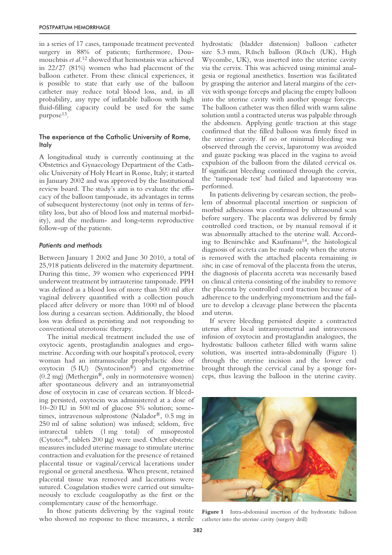in a series of 17 cases, tamponade treatment prevented surgery in 88% of patients; furthermore, Doumouchtsis *et al*. <sup>12</sup> showed that hemostasis was achieved in 22/27 (81%) women who had placement of the balloon catheter. From these clinical experiences, it is possible to state that early use of the balloon catheter may reduce total blood loss, and, in all probability, any type of inflatable balloon with high fluid-filling capacity could be used for the same purpose<sup>13</sup>.

# The experience at the Catholic University of Rome, Italy

A longitudinal study is currently continuing at the Obstetrics and Gynaecology Department of the Catholic University of Holy Heart in Rome, Italy; it started in January 2002 and was approved by the Institutional review board. The study's aim is to evaluate the efficacy of the balloon tamponade, its advantages in terms of subsequent hysterectomy (not only in terms of fertility loss, but also of blood loss and maternal morbidity), and the medium- and long-term reproductive follow-up of the patients.

## *Patients and methods*

Between January 1 2002 and June 30 2010, a total of 25,918 patients delivered in the maternity department. During this time, 39 women who experienced PPH underwent treatment by intrauterine tamponade. PPH was defined as a blood loss of more than 500 ml after vaginal delivery quantified with a collection pouch placed after delivery or more than 1000 ml of blood loss during a cesarean section. Additionally, the blood loss was defined as persisting and not responding to conventional uterotonic therapy.

The initial medical treatment included the use of oxytocic agents, prostaglandin analogues and ergometrine. According with our hospital's protocol, every woman had an intramuscular prophylactic dose of oxytocin (5 IU) (Syntocinon®) and ergometrine (0.2 mg) (Methergin®, only in normotensive women) after spontaneous delivery and an intramyometrial dose of oxytocin in case of cesarean section. If bleeding persisted, oxytocin was administered at a dose of 10–20 IU in 500 ml of glucose 5% solution; sometimes, intravenous sulprostone (Nalador®, 0.5 mg in 250 ml of saline solution) was infused; seldom, five intrarectal tablets (1 mg total) of misoprostol (Cytotec®, tablets 200 µg) were used. Other obstetric measures included uterine massage to stimulate uterine contraction and evaluation for the presence of retained placental tissue or vaginal/cervical lacerations under regional or general anesthesia. When present, retained placental tissue was removed and lacerations were sutured. Coagulation studies were carried out simultaneously to exclude coagulopathy as the first or the complementary cause of the hemorrhage.

In those patients delivering by the vaginal route who showed no response to these measures, a sterile hydrostatic (bladder distension) balloon catheter size 5.3 mm, Rüsch balloon (Rüsch (UK), High Wycombe, UK), was inserted into the uterine cavity via the cervix. This was achieved using minimal analgesia or regional anesthetics. Insertion was facilitated by grasping the anterior and lateral margins of the cervix with sponge forceps and placing the empty balloon into the uterine cavity with another sponge forceps. The balloon catheter was then filled with warm saline solution until a contracted uterus was palpable through the abdomen. Applying gentle traction at this stage confirmed that the filled balloon was firmly fixed in the uterine cavity. If no or minimal bleeding was observed through the cervix, laparotomy was avoided and gauze packing was placed in the vagina to avoid expulsion of the balloon from the dilated cervical os. If significant bleeding continued through the cervix, the 'tamponade test' had failed and laparotomy was performed.

In patients delivering by cesarean section, the problem of abnormal placental insertion or suspicion of morbid adhesions was confirmed by ultrasound scan before surgery. The placenta was delivered by firmly controlled cord traction, or by manual removal if it was abnormally attached to the uterine wall. According to Benirschke and Kaufmann<sup>14</sup>, the histological diagnosis of accreta can be made only when the uterus is removed with the attached placenta remaining *in situ*; in case of removal of the placenta from the uterus, the diagnosis of placenta accreta was necessarily based on clinical criteria consisting of the inability to remove the placenta by controlled cord traction because of a adherence to the underlying myometrium and the failure to develop a cleavage plane between the placenta and uterus.

If severe bleeding persisted despite a contracted uterus after local intramyometrial and intravenous infusion of oxytocin and prostaglandin analogues, the hydrostatic balloon catheter filled with warm saline solution, was inserted intra-abdominally (Figure 1) through the uterine incision and the lower end brought through the cervical canal by a sponge forceps, thus leaving the balloon in the uterine cavity.



Figure 1 Intra-abdominal insertion of the hydrostatic balloon catheter into the uterine cavity (surgery drill)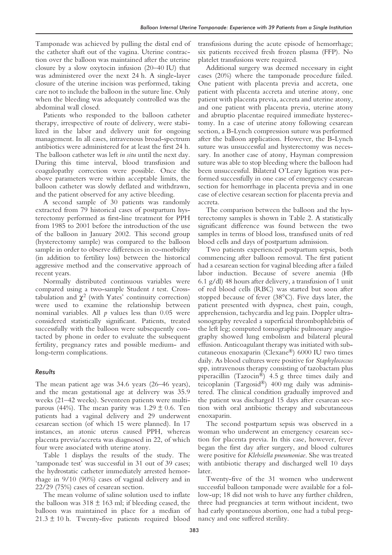Tamponade was achieved by pulling the distal end of the catheter shaft out of the vagina. Uterine contraction over the balloon was maintained after the uterine closure by a slow oxytocin infusion (20–40 IU) that was administered over the next 24 h. A single-layer closure of the uterine incision was performed, taking care not to include the balloon in the suture line. Only when the bleeding was adequately controlled was the abdominal wall closed.

Patients who responded to the balloon catheter therapy, irrespective of route of delivery, were stabilized in the labor and delivery unit for ongoing management. In all cases, intravenous broad-spectrum antibiotics were administered for at least the first 24 h. The balloon catheter was left *in situ* until the next day. During this time interval, blood transfusion and coagulopathy correction were possible. Once the above parameters were within acceptable limits, the balloon catheter was slowly deflated and withdrawn, and the patient observed for any active bleeding.

A second sample of 30 patients was randomly extracted from 79 historical cases of postpartum hysterectomy performed as first-line treatment for PPH from 1985 to 2001 before the introduction of the use of the balloon in January 2002. This second group (hysterectomy sample) was compared to the balloon sample in order to observe differences in co-morbidity (in addition to fertility loss) between the historical aggressive method and the conservative approach of recent years.

Normally distributed continuous variables were compared using a two-sample Student *t* test. Crosstabulation and  $\chi^2$  (with Yates' continuity correction) were used to examine the relationship between nominal variables. All *p* values less than 0.05 were considered statistically significant. Patients, treated successfully with the balloon were subsequently contacted by phone in order to evaluate the subsequent fertility, pregnancy rates and possible medium- and long-term complications.

# *Results*

The mean patient age was 34.6 years (26–46 years), and the mean gestational age at delivery was 35.9 weeks (21–42 weeks). Seventeen patients were multiparous (44%). The mean parity was  $1.29 \pm 0.6$ . Ten patients had a vaginal delivery and 29 underwent cesarean section (of which 15 were planned). In 17 instances, an atonic uterus caused PPH, whereas placenta previa/accreta was diagnosed in 22, of which four were associated with uterine atony.

Table 1 displays the results of the study. The 'tamponade test' was successful in 31 out of 39 cases; the hydrostatic catheter immediately arrested hemorrhage in 9/10 (90%) cases of vaginal delivery and in 22/29 (75%) cases of cesarean section.

The mean volume of saline solution used to inflate the balloon was  $318 \pm 163$  ml; if bleeding ceased, the balloon was maintained in place for a median of  $21.3 \pm 10$  h. Twenty-five patients required blood

transfusions during the acute episode of hemorrhage; six patients received fresh frozen plasma (FFP). No platelet transfusions were required.

Additional surgery was deemed necessary in eight cases (20%) where the tamponade procedure failed. One patient with placenta previa and accreta, one patient with placenta accreta and uterine atony, one patient with placenta previa, accreta and uterine atony, and one patient with placenta previa, uterine atony and abruptio placentae required immediate hysterectomy. In a case of uterine atony following cesarean section, a B-Lynch compression suture was performed after the balloon application. However, the B-Lynch suture was unsuccessful and hysterectomy was necessary. In another case of atony, Hayman compression suture was able to stop bleeding where the balloon had been unsuccessful. Bilateral O'Leary ligation was performed successfully in one case of emergency cesarean section for hemorrhage in placenta previa and in one case of elective cesarean section for placenta previa and accreta.

The comparison between the balloon and the hysterectomy samples is shown in Table 2. A statistically significant difference was found between the two samples in terms of blood loss, transfused units of red blood cells and days of postpartum admission.

Two patients experienced postpartum sepsis, both commencing after balloon removal. The first patient had a cesarean section for vaginal bleeding after a failed labor induction. Because of severe anemia (Hb 6.1 g/dl) 48 hours after delivery, a transfusion of 1 unit of red blood cells (RBC) was started but soon after stopped because of fever (38°C). Five days later, the patient presented with dyspnea, chest pain, cough, apprehension, tachycardia and leg pain. Doppler ultrasonography revealed a superficial thrombophlebitis of the left leg; computed tomographic pulmonary angiography showed lung embolism and bilateral pleural effusion. Anticoagulant therapy was initiated with subcutaneous enoxaparin (Clexane®) 6000 IU two times daily. As blood cultures were positive for *Staphylococcus* spp, intravenous therapy consisting of tazobactam plus piperacillin (Tazocin®) 4.5 g three times daily and teicoplanin (Targosid®) 400 mg daily was administered. The clinical condition gradually improved and the patient was discharged 15 days after cesarean section with oral antibiotic therapy and subcutaneous enoxaparin.

The second postpartum sepsis was observed in a woman who underwent an emergency cesarean section for placenta previa. In this case, however, fever began the first day after surgery, and blood cultures were positive for *Klebsiella pneumoniae*. She was treated with antibiotic therapy and discharged well 10 days later.

Twenty-five of the 31 women who underwent successful balloon tamponade were available for a follow-up; 18 did not wish to have any further children, three had pregnancies at term without incident, two had early spontaneous abortion, one had a tubal pregnancy and one suffered sterility.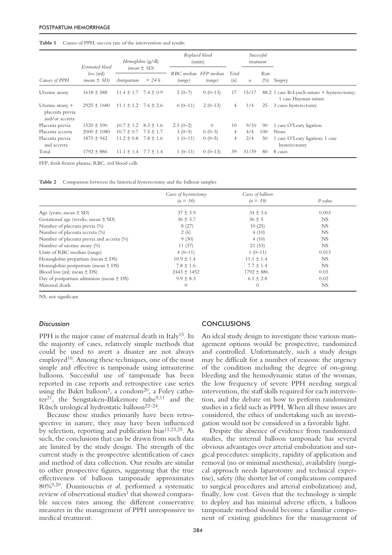#### **Table 1** Causes of PPH, success rate of the intervention and results

|                                                      | Estimated blood<br>$loss$ (ml)<br>$(mean \pm SD)$ | Hemoglobin (g/dl)<br>$(mean \pm SD)$ |               | Replaced blood<br>(units) |           |                | Successful<br>treatment |        |                                                                    |
|------------------------------------------------------|---------------------------------------------------|--------------------------------------|---------------|---------------------------|-----------|----------------|-------------------------|--------|--------------------------------------------------------------------|
| Causes of PPH                                        |                                                   |                                      |               | RBC median FFP median     |           | Total          |                         | Rate   |                                                                    |
|                                                      |                                                   | Antepartum                           | $>$ 24 h      | (range)                   | (range)   | (n)            | $\boldsymbol{n}$        | $(\%)$ | Surgery                                                            |
| Uterine atony                                        | $1618 \pm 588$                                    | $11.4 \pm 1.7$                       | $7.4 \pm 0.9$ | $2(0-7)$                  | $0(0-13)$ | 17             | 15/17                   |        | 88.2 1 case B-Lynch suture + hysterectomy;<br>1 case Hayman suture |
| Uterine atony +<br>placenta previa<br>and/or accreta | $2925 \pm 1680$                                   | $11.1 \pm 1.2$ 7.6 $\pm 2.6$         |               | $6(0-11)$                 | $2(0-13)$ | 4              | 1/4                     | 25     | 3 cases hysterectomy                                               |
| Placenta previa                                      | $1520 \pm 590$                                    | $10.7 \pm 1.2$                       | $8.3 \pm 1.6$ | $2.5(0-2)$                | $\Omega$  | 10             | 9/10                    | 90     | 1 case O'Leary ligation                                            |
| Placenta accreta                                     | $2000 \pm 1080$                                   | $10.7 \pm 0.7$                       | $7.5 \pm 1.7$ | $3(0-5)$                  | $0(0-3)$  | $\overline{4}$ | 4/4                     | 100    | None                                                               |
| Placenta previa<br>and accreta                       | $1875 \pm 942$                                    | $11.2 \pm 0.8$                       | $7.8 \pm 1.6$ | $1(0-11)$                 | $0(0-5)$  | 4              | 2/4                     | 50     | 1 case O'Leary ligation; 1 case<br>hysterectomy                    |
| Total                                                | $1792 \pm 886$                                    | $11.1 \pm 1.4$                       | $7.7 \pm 1.4$ | $1(0-11)$                 | $0(0-13)$ | 39             | 31/39                   | 80     | 8 cases                                                            |

FFP, fresh frozen plasma; RBC, red blood cells

**Table 2** Comparison between the historical hysterectomy and the balloon samples

|                                             | Cases of hysterectomy | Cases of balloon |           |  |
|---------------------------------------------|-----------------------|------------------|-----------|--|
|                                             | $(n = 30)$            | $(n = 39)$       | $P$ value |  |
| Age (years; mean $\pm$ SD)                  | $37 \pm 3.9$          | $34 \pm 3.6$     | 0.003     |  |
| Gestational age (weeks; mean $\pm$ SD)      | $36 \pm 3.7$          | $36 \pm 5$       | NS        |  |
| Number of placenta previa (%)               | 8(27)                 | 10(25)           | NS        |  |
| Number of placenta accreta (%)              | 2(6)                  | 4(10)            | NS.       |  |
| Number of placenta previa and accreta (%)   | 9(30)                 | 4(10)            | NS.       |  |
| Number of uterine atony (%)                 | 11(37)                | 21(53)           | NS.       |  |
| Units of RBC median (range)                 | $4(0-11)$             | $1(0-11)$        | 0.013     |  |
| Hemoglobin prepartum (mean $\pm$ DS)        | $10.9 \pm 1.4$        | $11.1 \pm 1.4$   | NS        |  |
| Hemoglobin postpartum (mean $\pm$ DS)       | $7.8 \pm 1.6$         | $7.7 \pm 1.4$    | NS.       |  |
| Blood loss (ml; mean $\pm$ DS)              | $2443 \pm 1452$       | $1792 \pm 886$   | 0.03      |  |
| Day of postpartum admission (mean $\pm$ DS) | $9.9 \pm 8.3$         | $6.1 \pm 2.8$    | 0.02      |  |
| Maternal death                              | $\theta$              | $\overline{0}$   | NS        |  |

NS, not significant

#### *Discussion*

PPH is the major cause of maternal death in Italy<sup>15</sup>. In the majority of cases, relatively simple methods that could be used to avert a disaster are not always employed<sup>16</sup>. Among these techniques, one of the most simple and effective is tamponade using intrauterine balloons. Successful use of tamponade has been reported in case reports and retrospective case series using the Bakri balloon<sup>3</sup>, a condom<sup>20</sup>, a Foley catheter<sup>21</sup>, the Sengstaken-Blakemore tube<sup>9,11</sup> and the Rüsch urological hydrostatic balloon22–24.

Because these studies primarily have been retrospective in nature, they may have been influenced by selection, reporting and publication bias<sup>11,23,25</sup>. As such, the conclusions that can be drawn from such data are limited by the study design. The strength of the current study is the prospective identification of cases and method of data collection. Our results are similar to other prospective figures, suggesting that the true effectiveness of balloon tamponade approximates 80%9,20. Doumouctsis *et al*. performed a systematic review of observational studies<sup>1</sup> that showed comparable success rates among the different conservative measures in the management of PPH unresponsive to medical treatment.

## **CONCLUSIONS**

An ideal study design to investigate these various management options would be prospective, randomized and controlled. Unfortunately, such a study design may be difficult for a number of reasons: the urgency of the condition including the degree of on-going bleeding and the hemodynamic status of the woman, the low frequency of severe PPH needing surgical intervention, the staff skills required for each intervention, and the debate on how to perform randomized studies in a field such as PPH. When all these issues are considered, the ethics of undertaking such an investigation would not be considered in a favorable light.

Despite the absence of evidence from randomized studies, the internal balloon tamponade has several obvious advantages over arterial embolization and surgical procedures: simplicity, rapidity of application and removal (no or minimal anesthesia), availability (surgical approach needs laparotomy and technical expertise), safety (the shorter list of complications compared to surgical procedures and arterial embolization) and, finally, low cost. Given that the technology is simple to deploy and has minimal adverse effects, a balloon tamponade method should become a familiar component of existing guidelines for the management of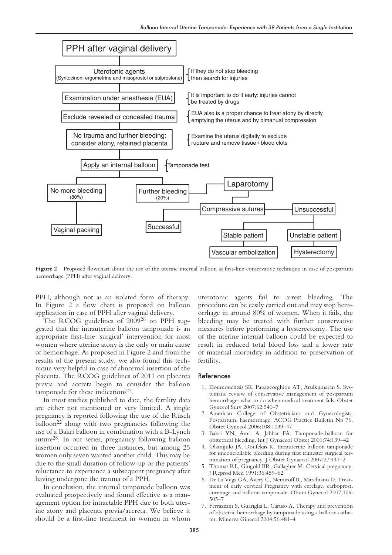

**Figure 2** Proposed flowchart about the use of the uterine internal balloon as first-line conservative technique in case of postpartum hemorrhage (PPH) after vaginal delivery.

PPH, although not as an isolated form of therapy. In Figure 2 a flow chart is proposed on balloon application in case of PPH after vaginal delivery.

The RCOG guidelines of 200926 on PPH suggested that the intrauterine balloon tamponade is an appropriate first-line 'surgical' intervention for most women where uterine atony is the only or main cause of hemorrhage. As proposed in Figure 2 and from the results of the present study, we also found this technique very helpful in case of abnormal insertion of the placenta. The RCOG guidelines of 2011 on placenta previa and accreta begin to consider the balloon tamponade for these indications<sup>27</sup>.

In most studies published to date, the fertility data are either not mentioned or very limited. A single pregnancy is reported following the use of the Rüsch balloon<sup>22</sup> along with two pregnancies following the use of a Bakri balloon in combination with a B-Lynch suture28. In our series, pregnancy following balloon insertion occurred in three instances, but among 25 women only seven wanted another child. This may be due to the small duration of follow-up or the patients' reluctance to experience a subsequent pregnancy after having undergone the trauma of a PPH.

In conclusion, the internal tamponade balloon was evaluated prospectively and found effective as a management option for intractable PPH due to both uterine atony and placenta previa/accreta. We believe it should be a first-line treatment in women in whom

uterotonic agents fail to arrest bleeding. The procedure can be easily carried out and may stop hemorrhage in around 80% of women. When it fails, the bleeding may be treated with further conservative measures before performing a hysterectomy. The use of the uterine internal balloon could be expected to result in reduced total blood loss and a lower rate of maternal morbidity in addition to preservation of fertility.

#### References

- 1. Doumouchtsis SK, Papageorghiou AT, Arulkumaran S. Systematic review of conservative management of postpartum hemorrhage: what to do when medical treatment fails. Obstet Gynecol Surv 2007;62:540–7
- 2. American College of Obstetricians and Gynecologists. Postpartum, haemorrhage. ACOG Practice Bulletin No 76. Obstet Gynecol 2006;108:1039–47
- 3. Bakri YN, Amri A, Jabbar FA. Tamponade-balloon for obstetrical bleeding. Int J Gynaecol Obstet 2001;74:139–42
- 4. Olamijulo JA, Doufekas K. Intrauterine balloon tamponade for uncontrollable bleeding during first trimester surgical termination of pregnancy. J Obstet Gynaecol 2007;27:441–2
- 5. Thomas RL, Gingold BR, Gallagher M. Cervical pregnancy. J Reprod Med 1991;36:459–62
- 6. De La Vega GA, Avery C, Nemiroff R, Marchiano D. Treatment of early cervical Pregnancy with cerclage, carboprost, curettage and balloon tamponade. Obstet Gynecol 2007;109: 505–7
- 7. Ferrazzani S, Guariglia L, Caruso A. Therapy and prevention of obstetric hemorrhage by tamponade using a balloon catheter. Minerva Ginecol 2004;56:481–4